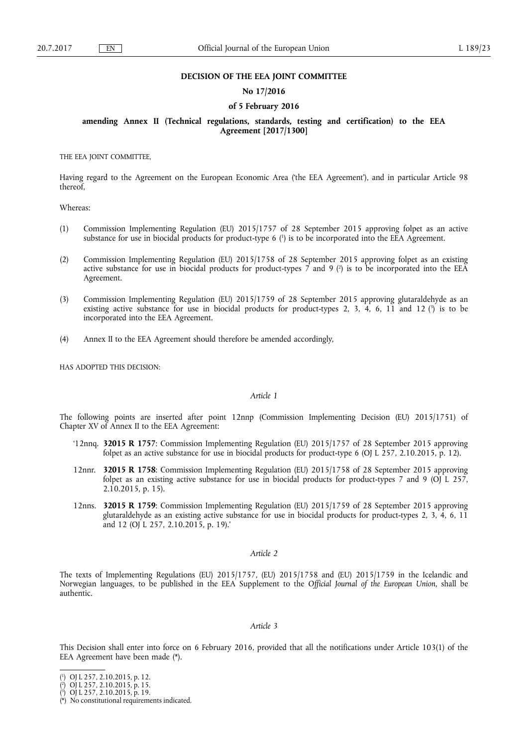### **DECISION OF THE EEA JOINT COMMITTEE**

## **No 17/2016**

### **of 5 February 2016**

## **amending Annex II (Technical regulations, standards, testing and certification) to the EEA Agreement [2017/1300]**

THE EEA JOINT COMMITTEE,

Having regard to the Agreement on the European Economic Area ('the EEA Agreement'), and in particular Article 98 thereof,

Whereas:

- (1) Commission Implementing Regulation (EU) 2015/1757 of 28 September 2015 approving folpet as an active substance for use in biocidal products for product-type 6 ( 1 ) is to be incorporated into the EEA Agreement.
- (2) Commission Implementing Regulation (EU) 2015/1758 of 28 September 2015 approving folpet as an existing active substance for use in biocidal products for product-types 7 and 9 ( 2 ) is to be incorporated into the EEA Agreement.
- (3) Commission Implementing Regulation (EU) 2015/1759 of 28 September 2015 approving glutaraldehyde as an existing active substance for use in biocidal products for product-types 2, 3, 4, 6, 11 and 12 (3) is to be incorporated into the EEA Agreement.
- (4) Annex II to the EEA Agreement should therefore be amended accordingly,

HAS ADOPTED THIS DECISION:

### *Article 1*

The following points are inserted after point 12nnp (Commission Implementing Decision (EU) 2015/1751) of Chapter XV of Annex II to the EEA Agreement:

- '12nnq. **32015 R 1757**: Commission Implementing Regulation (EU) 2015/1757 of 28 September 2015 approving folpet as an active substance for use in biocidal products for product-type 6 (OJ L 257, 2.10.2015, p. 12).
- 12nnr. **32015 R 1758**: Commission Implementing Regulation (EU) 2015/1758 of 28 September 2015 approving folpet as an existing active substance for use in biocidal products for product-types 7 and 9 (OJ L 257, 2.10.2015, p. 15).
- 12nns. **32015 R 1759**: Commission Implementing Regulation (EU) 2015/1759 of 28 September 2015 approving glutaraldehyde as an existing active substance for use in biocidal products for product-types 2, 3, 4, 6, 11 and 12 (OJ L 257, 2.10.2015, p. 19).'

#### *Article 2*

The texts of Implementing Regulations (EU) 2015/1757, (EU) 2015/1758 and (EU) 2015/1759 in the Icelandic and Norwegian languages, to be published in the EEA Supplement to the *Official Journal of the European Union*, shall be authentic.

## *Article 3*

This Decision shall enter into force on 6 February 2016, provided that all the notifications under Article 103(1) of the EEA Agreement have been made (\*).

<sup>(</sup> 1 ) OJ L 257, 2.10.2015, p. 12.

<sup>(</sup> 2 ) OJ L 257, 2.10.2015, p. 15.

<sup>(</sup> 3 ) OJ L 257, 2.10.2015, p. 19.

<sup>(\*)</sup> No constitutional requirements indicated.